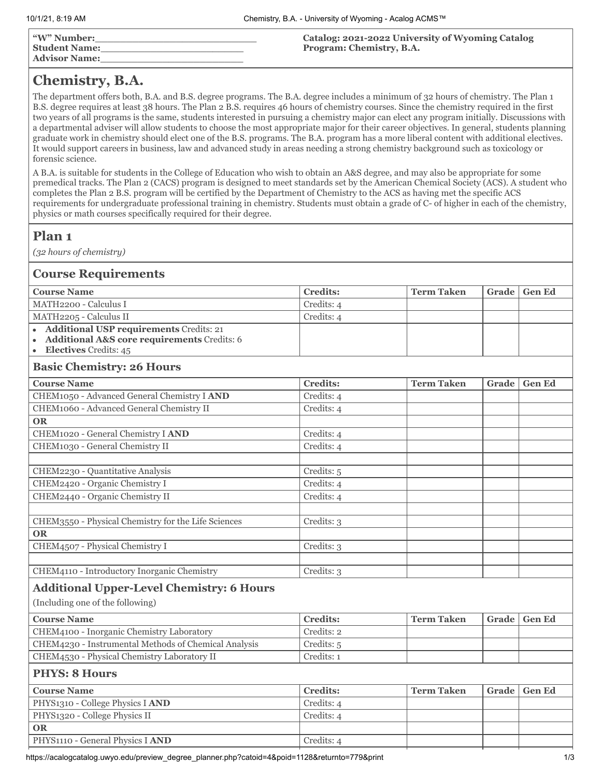# **Chemistry, B.A.**

The department offers both, B.A. and B.S. degree programs. The B.A. degree includes a minimum of 32 hours of chemistry. The Plan 1 B.S. degree requires at least 38 hours. The Plan 2 B.S. requires 46 hours of chemistry courses. Since the chemistry required in the first two years of all programs is the same, students interested in pursuing a chemistry major can elect any program initially. Discussions with a departmental adviser will allow students to choose the most appropriate major for their career objectives. In general, students planning graduate work in chemistry should elect one of the B.S. programs. The B.A. program has a more liberal content with additional electives. It would support careers in business, law and advanced study in areas needing a strong chemistry background such as toxicology or forensic science.

A B.A. is suitable for students in the College of Education who wish to obtain an A&S degree, and may also be appropriate for some premedical tracks. The Plan 2 (CACS) program is designed to meet standards set by the American Chemical Society (ACS). A student who completes the Plan 2 B.S. program will be certified by the Department of Chemistry to the ACS as having met the specific ACS requirements for undergraduate professional training in chemistry. Students must obtain a grade of C- of higher in each of the chemistry, physics or math courses specifically required for their degree.

## **Plan 1**

*(32 hours of chemistry)*

#### **Course Requirements**

| <b>Course Name</b>                            | <b>Credits:</b> | <b>Term Taken</b> | Grade   Gen Ed |
|-----------------------------------------------|-----------------|-------------------|----------------|
| MATH2200 - Calculus I                         | Credits: 4      |                   |                |
| MATH2205 - Calculus II                        | Credits: 4      |                   |                |
| • Additional USP requirements Credits: 21     |                 |                   |                |
| • Additional A&S core requirements Credits: 6 |                 |                   |                |
| $\bullet$ <b>Electives</b> Credits: 45        |                 |                   |                |

#### **Basic Chemistry: 26 Hours**

| <b>Course Name</b>                                  | <b>Credits:</b> | <b>Term Taken</b> | Grade | <b>Gen Ed</b> |
|-----------------------------------------------------|-----------------|-------------------|-------|---------------|
| CHEM1050 - Advanced General Chemistry I AND         | Credits: 4      |                   |       |               |
| CHEM1060 - Advanced General Chemistry II            | Credits: 4      |                   |       |               |
| <b>OR</b>                                           |                 |                   |       |               |
| CHEM1020 - General Chemistry I AND                  | Credits: 4      |                   |       |               |
| CHEM1030 - General Chemistry II                     | Credits: 4      |                   |       |               |
|                                                     |                 |                   |       |               |
| CHEM2230 - Quantitative Analysis                    | Credits: 5      |                   |       |               |
| CHEM2420 - Organic Chemistry I                      | Credits: 4      |                   |       |               |
| CHEM2440 - Organic Chemistry II                     | Credits: 4      |                   |       |               |
|                                                     |                 |                   |       |               |
| CHEM3550 - Physical Chemistry for the Life Sciences | Credits: 3      |                   |       |               |
| <b>OR</b>                                           |                 |                   |       |               |
| CHEM4507 - Physical Chemistry I                     | Credits: 3      |                   |       |               |
|                                                     |                 |                   |       |               |
| CHEM4110 - Introductory Inorganic Chemistry         | Credits: 3      |                   |       |               |

### **Additional Upper-Level Chemistry: 6 Hours**

(Including one of the following)

| Course Name                                          | <b>Credits:</b> | Term Taken | Grade   Gen Ed |
|------------------------------------------------------|-----------------|------------|----------------|
| CHEM4100 - Inorganic Chemistry Laboratory            | Credits: 2      |            |                |
| CHEM4230 - Instrumental Methods of Chemical Analysis | Credits: 5      |            |                |
| CHEM4530 - Physical Chemistry Laboratory II          | Credits: 1      |            |                |

### **PHYS: 8 Hours**

| <b>Course Name</b>               | <b>Credits:</b> | <b>Term Taken</b> |  | Grade   Gen Ed |  |
|----------------------------------|-----------------|-------------------|--|----------------|--|
| PHYS1310 - College Physics I AND | Credits: 4      |                   |  |                |  |
| PHYS1320 - College Physics II    | Credits: 4      |                   |  |                |  |
| <b>OR</b>                        |                 |                   |  |                |  |
| PHYS1110 - General Physics I AND | Credits: 4      |                   |  |                |  |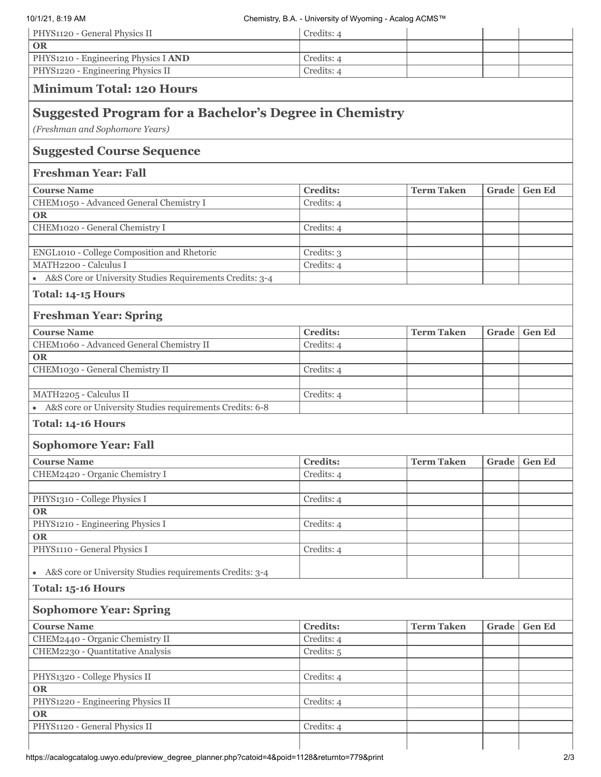| 10/1/21, 8:19 AM                                                     | Chemistry, B.A. - University of Wyoming - Acalog ACMS™ |                   |       |               |
|----------------------------------------------------------------------|--------------------------------------------------------|-------------------|-------|---------------|
| PHYS1120 - General Physics II                                        | Credits: 4                                             |                   |       |               |
| <b>OR</b>                                                            |                                                        |                   |       |               |
| PHYS1210 - Engineering Physics I AND                                 | Credits: 4                                             |                   |       |               |
| PHYS1220 - Engineering Physics II                                    | Credits: 4                                             |                   |       |               |
| <b>Minimum Total: 120 Hours</b>                                      |                                                        |                   |       |               |
| <b>Suggested Program for a Bachelor's Degree in Chemistry</b>        |                                                        |                   |       |               |
| (Freshman and Sophomore Years)                                       |                                                        |                   |       |               |
| <b>Suggested Course Sequence</b>                                     |                                                        |                   |       |               |
| <b>Freshman Year: Fall</b>                                           |                                                        |                   |       |               |
| <b>Course Name</b>                                                   | <b>Credits:</b>                                        | <b>Term Taken</b> | Grade | <b>Gen Ed</b> |
| CHEM1050 - Advanced General Chemistry I                              | Credits: 4                                             |                   |       |               |
| <b>OR</b>                                                            |                                                        |                   |       |               |
| CHEM1020 - General Chemistry I                                       | Credits: 4                                             |                   |       |               |
|                                                                      |                                                        |                   |       |               |
| ENGL1010 - College Composition and Rhetoric<br>MATH2200 - Calculus I | Credits: 3<br>Credits: 4                               |                   |       |               |
| A&S Core or University Studies Requirements Credits: 3-4             |                                                        |                   |       |               |
| Total: 14-15 Hours                                                   |                                                        |                   |       |               |
| <b>Freshman Year: Spring</b>                                         |                                                        |                   |       |               |
| <b>Course Name</b>                                                   | <b>Credits:</b>                                        | <b>Term Taken</b> | Grade | <b>Gen Ed</b> |
| CHEM1060 - Advanced General Chemistry II                             | Credits: 4                                             |                   |       |               |
| <b>OR</b>                                                            |                                                        |                   |       |               |
| CHEM1030 - General Chemistry II                                      | Credits: 4                                             |                   |       |               |
| MATH2205 - Calculus II                                               | Credits: 4                                             |                   |       |               |
| A&S core or University Studies requirements Credits: 6-8             |                                                        |                   |       |               |
| Total: 14-16 Hours                                                   |                                                        |                   |       |               |
| <b>Sophomore Year: Fall</b>                                          |                                                        |                   |       |               |
| <b>Course Name</b>                                                   | <b>Credits:</b>                                        | <b>Term Taken</b> | Grade | <b>Gen Ed</b> |
| CHEM2420 - Organic Chemistry I                                       | Credits: 4                                             |                   |       |               |
|                                                                      |                                                        |                   |       |               |
| PHYS1310 - College Physics I                                         | Credits: 4                                             |                   |       |               |
| <b>OR</b>                                                            |                                                        |                   |       |               |
| PHYS1210 - Engineering Physics I                                     | Credits: 4                                             |                   |       |               |
| <b>OR</b>                                                            |                                                        |                   |       |               |
| PHYS1110 - General Physics I                                         | Credits: 4                                             |                   |       |               |
| A&S core or University Studies requirements Credits: 3-4             |                                                        |                   |       |               |
| Total: 15-16 Hours                                                   |                                                        |                   |       |               |
| <b>Sophomore Year: Spring</b>                                        |                                                        |                   |       |               |
| <b>Course Name</b>                                                   | <b>Credits:</b>                                        | <b>Term Taken</b> | Grade | <b>Gen Ed</b> |
| CHEM2440 - Organic Chemistry II                                      | Credits: 4                                             |                   |       |               |
| CHEM2230 - Quantitative Analysis                                     | Credits: 5                                             |                   |       |               |
|                                                                      |                                                        |                   |       |               |
| PHYS1320 - College Physics II                                        | Credits: 4                                             |                   |       |               |
| <b>OR</b>                                                            |                                                        |                   |       |               |
| PHYS1220 - Engineering Physics II                                    | Credits: 4                                             |                   |       |               |
| <b>OR</b>                                                            |                                                        |                   |       |               |
| PHYS1120 - General Physics II                                        | Credits: 4                                             |                   |       |               |